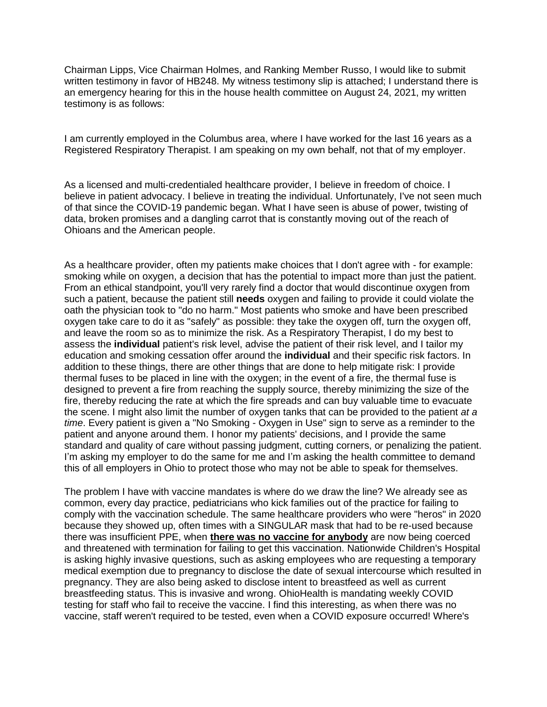Chairman Lipps, Vice Chairman Holmes, and Ranking Member Russo, I would like to submit written testimony in favor of HB248. My witness testimony slip is attached; I understand there is an emergency hearing for this in the house health committee on August 24, 2021, my written testimony is as follows:

I am currently employed in the Columbus area, where I have worked for the last 16 years as a Registered Respiratory Therapist. I am speaking on my own behalf, not that of my employer.

As a licensed and multi-credentialed healthcare provider, I believe in freedom of choice. I believe in patient advocacy. I believe in treating the individual. Unfortunately, I've not seen much of that since the COVID-19 pandemic began. What I have seen is abuse of power, twisting of data, broken promises and a dangling carrot that is constantly moving out of the reach of Ohioans and the American people.

As a healthcare provider, often my patients make choices that I don't agree with - for example: smoking while on oxygen, a decision that has the potential to impact more than just the patient. From an ethical standpoint, you'll very rarely find a doctor that would discontinue oxygen from such a patient, because the patient still **needs** oxygen and failing to provide it could violate the oath the physician took to "do no harm." Most patients who smoke and have been prescribed oxygen take care to do it as "safely" as possible: they take the oxygen off, turn the oxygen off, and leave the room so as to minimize the risk. As a Respiratory Therapist, I do my best to assess the **individual** patient's risk level, advise the patient of their risk level, and I tailor my education and smoking cessation offer around the **individual** and their specific risk factors. In addition to these things, there are other things that are done to help mitigate risk: I provide thermal fuses to be placed in line with the oxygen; in the event of a fire, the thermal fuse is designed to prevent a fire from reaching the supply source, thereby minimizing the size of the fire, thereby reducing the rate at which the fire spreads and can buy valuable time to evacuate the scene. I might also limit the number of oxygen tanks that can be provided to the patient *at a time*. Every patient is given a "No Smoking - Oxygen in Use" sign to serve as a reminder to the patient and anyone around them. I honor my patients' decisions, and I provide the same standard and quality of care without passing judgment, cutting corners, or penalizing the patient. I'm asking my employer to do the same for me and I'm asking the health committee to demand this of all employers in Ohio to protect those who may not be able to speak for themselves.

The problem I have with vaccine mandates is where do we draw the line? We already see as common, every day practice, pediatricians who kick families out of the practice for failing to comply with the vaccination schedule. The same healthcare providers who were "heros" in 2020 because they showed up, often times with a SINGULAR mask that had to be re-used because there was insufficient PPE, when **there was no vaccine for anybody** are now being coerced and threatened with termination for failing to get this vaccination. Nationwide Children's Hospital is asking highly invasive questions, such as asking employees who are requesting a temporary medical exemption due to pregnancy to disclose the date of sexual intercourse which resulted in pregnancy. They are also being asked to disclose intent to breastfeed as well as current breastfeeding status. This is invasive and wrong. OhioHealth is mandating weekly COVID testing for staff who fail to receive the vaccine. I find this interesting, as when there was no vaccine, staff weren't required to be tested, even when a COVID exposure occurred! Where's